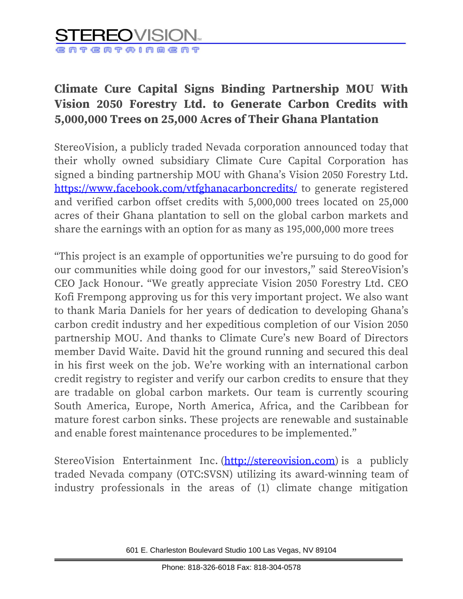## RECOVIS eareinment

## **Climate Cure Capital Signs Binding Partnership MOU With Vision 2050 Forestry Ltd. to Generate Carbon Credits with 5,000,000 Trees on 25,000 Acres of Their Ghana Plantation**

StereoVision, a publicly traded Nevada corporation announced today that their wholly owned subsidiary Climate Cure Capital Corporation has signed a binding partnership MOU with Ghana's Vision 2050 Forestry Ltd. <https://www.facebook.com/vtfghanacarboncredits/> to generate registered and verified carbon offset credits with 5,000,000 trees located on 25,000 acres of their Ghana plantation to sell on the global carbon markets and share the earnings with an option for as many as 195,000,000 more trees

"This project is an example of opportunities we're pursuing to do good for our communities while doing good for our investors," said StereoVision's CEO Jack Honour. "We greatly appreciate Vision 2050 Forestry Ltd. CEO Kofi Frempong approving us for this very important project. We also want to thank Maria Daniels for her years of dedication to developing Ghana's carbon credit industry and her expeditious completion of our Vision 2050 partnership MOU. And thanks to Climate Cure's new Board of Directors member David Waite. David hit the ground running and secured this deal in his first week on the job. We're working with an international carbon credit registry to register and verify our carbon credits to ensure that they are tradable on global carbon markets. Our team is currently scouring South America, Europe, North America, Africa, and the Caribbean for mature forest carbon sinks. These projects are renewable and sustainable and enable forest maintenance procedures to be implemented."

StereoVision Entertainment Inc. [\(http://stereovision.com\)](http://stereovision.com/) is a publicly traded Nevada company (OTC:SVSN) utilizing its award-winning team of industry professionals in the areas of (1) climate change mitigation

601 E. Charleston Boulevard Studio 100 Las Vegas, NV 89104